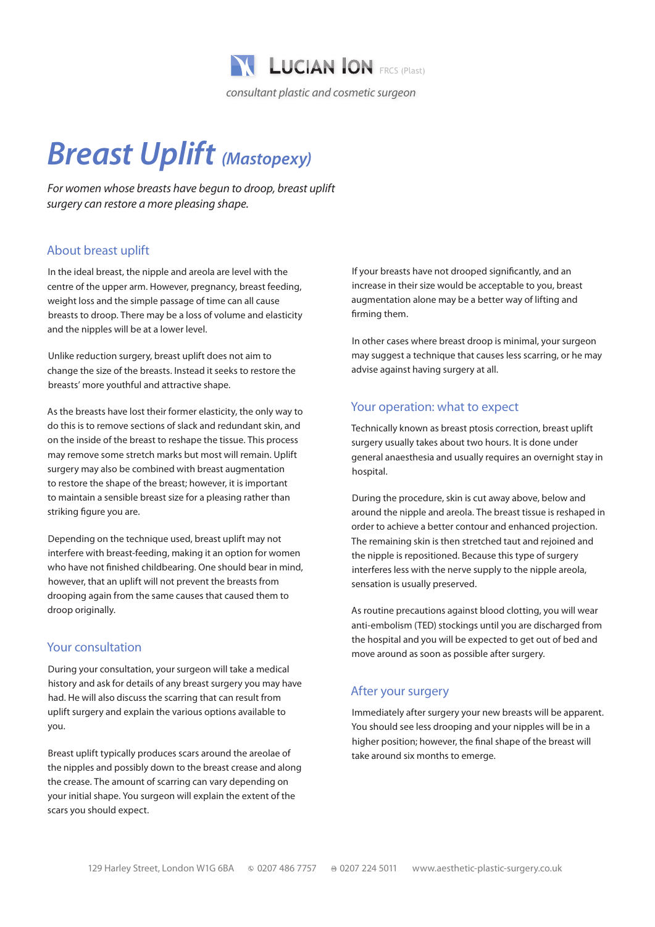

# *Breast Uplift (Mastopexy)*

*For women whose breasts have begun to droop, breast uplift surgery can restore a more pleasing shape.*

## About breast uplift

In the ideal breast, the nipple and areola are level with the centre of the upper arm. However, pregnancy, breast feeding, weight loss and the simple passage of time can all cause breasts to droop. There may be a loss of volume and elasticity and the nipples will be at a lower level.

Unlike reduction surgery, breast uplift does not aim to change the size of the breasts. Instead it seeks to restore the breasts' more youthful and attractive shape.

As the breasts have lost their former elasticity, the only way to do this is to remove sections of slack and redundant skin, and on the inside of the breast to reshape the tissue. This process may remove some stretch marks but most will remain. Uplift surgery may also be combined with breast augmentation to restore the shape of the breast; however, it is important to maintain a sensible breast size for a pleasing rather than striking figure you are.

Depending on the technique used, breast uplift may not interfere with breast-feeding, making it an option for women who have not finished childbearing. One should bear in mind, however, that an uplift will not prevent the breasts from drooping again from the same causes that caused them to droop originally.

#### Your consultation

During your consultation, your surgeon will take a medical history and ask for details of any breast surgery you may have had. He will also discuss the scarring that can result from uplift surgery and explain the various options available to you.

Breast uplift typically produces scars around the areolae of the nipples and possibly down to the breast crease and along the crease. The amount of scarring can vary depending on your initial shape. You surgeon will explain the extent of the scars you should expect.

If your breasts have not drooped significantly, and an increase in their size would be acceptable to you, breast augmentation alone may be a better way of lifting and firming them.

In other cases where breast droop is minimal, your surgeon may suggest a technique that causes less scarring, or he may advise against having surgery at all.

#### Your operation: what to expect

Technically known as breast ptosis correction, breast uplift surgery usually takes about two hours. It is done under general anaesthesia and usually requires an overnight stay in hospital.

During the procedure, skin is cut away above, below and around the nipple and areola. The breast tissue is reshaped in order to achieve a better contour and enhanced projection. The remaining skin is then stretched taut and rejoined and the nipple is repositioned. Because this type of surgery interferes less with the nerve supply to the nipple areola, sensation is usually preserved.

As routine precautions against blood clotting, you will wear anti-embolism (TED) stockings until you are discharged from the hospital and you will be expected to get out of bed and move around as soon as possible after surgery.

## After your surgery

Immediately after surgery your new breasts will be apparent. You should see less drooping and your nipples will be in a higher position; however, the final shape of the breast will take around six months to emerge.